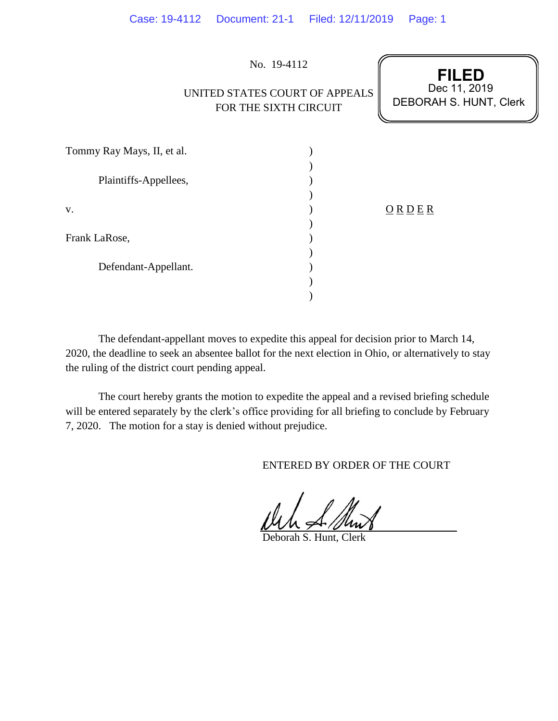|                            | No. 19-4112                                             | <b>FILED</b>                           |
|----------------------------|---------------------------------------------------------|----------------------------------------|
|                            | UNITED STATES COURT OF APPEALS<br>FOR THE SIXTH CIRCUIT | Dec 11, 2019<br>DEBORAH S. HUNT, Clerk |
| Tommy Ray Mays, II, et al. |                                                         |                                        |
| Plaintiffs-Appellees,      |                                                         |                                        |
| V.                         |                                                         | ORDER                                  |
| Frank LaRose,              |                                                         |                                        |
| Defendant-Appellant.       |                                                         |                                        |
|                            |                                                         |                                        |

Case: 19-4112 Document: 21-1 Filed: 12/11/2019 Page: 1

The defendant-appellant moves to expedite this appeal for decision prior to March 14, 2020, the deadline to seek an absentee ballot for the next election in Ohio, or alternatively to stay the ruling of the district court pending appeal.

The court hereby grants the motion to expedite the appeal and a revised briefing schedule will be entered separately by the clerk's office providing for all briefing to conclude by February 7, 2020. The motion for a stay is denied without prejudice.

ENTERED BY ORDER OF THE COURT

Deborah S. Hunt, Clerk